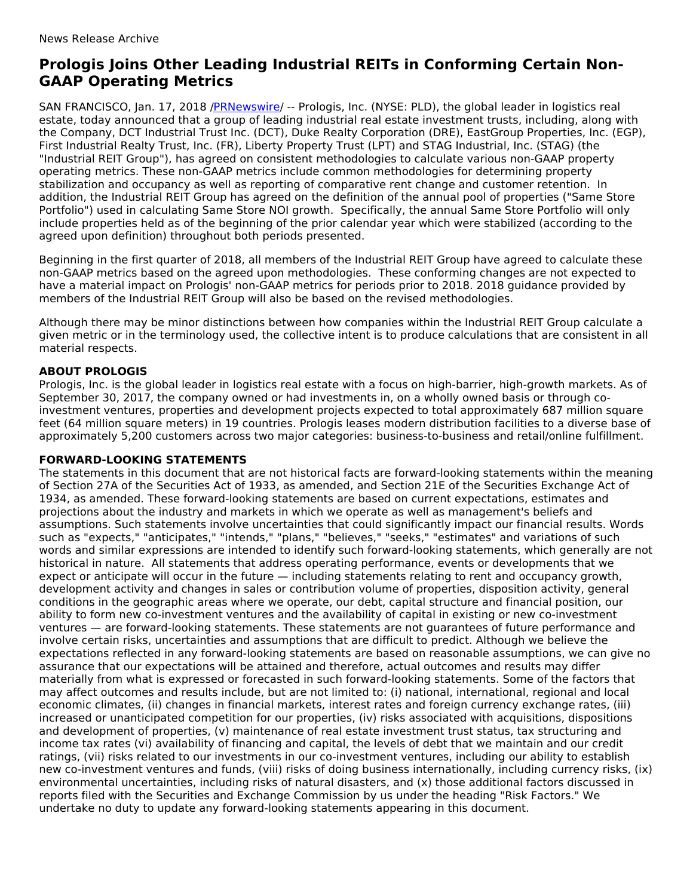## **Prologis Joins Other Leading Industrial REITs in Conforming Certain Non-GAAP Operating Metrics**

SAN FRANCISCO, Jan. 17, 2018 [/PRNewswire](http://www.prnewswire.com/)/ -- Prologis, Inc. (NYSE: PLD), the global leader in logistics real estate, today announced that a group of leading industrial real estate investment trusts, including, along with the Company, DCT Industrial Trust Inc. (DCT), Duke Realty Corporation (DRE), EastGroup Properties, Inc. (EGP), First Industrial Realty Trust, Inc. (FR), Liberty Property Trust (LPT) and STAG Industrial, Inc. (STAG) (the "Industrial REIT Group"), has agreed on consistent methodologies to calculate various non-GAAP property operating metrics. These non-GAAP metrics include common methodologies for determining property stabilization and occupancy as well as reporting of comparative rent change and customer retention. In addition, the Industrial REIT Group has agreed on the definition of the annual pool of properties ("Same Store Portfolio") used in calculating Same Store NOI growth. Specifically, the annual Same Store Portfolio will only include properties held as of the beginning of the prior calendar year which were stabilized (according to the agreed upon definition) throughout both periods presented.

Beginning in the first quarter of 2018, all members of the Industrial REIT Group have agreed to calculate these non-GAAP metrics based on the agreed upon methodologies. These conforming changes are not expected to have a material impact on Prologis' non-GAAP metrics for periods prior to 2018. 2018 guidance provided by members of the Industrial REIT Group will also be based on the revised methodologies.

Although there may be minor distinctions between how companies within the Industrial REIT Group calculate a given metric or in the terminology used, the collective intent is to produce calculations that are consistent in all material respects.

## **ABOUT PROLOGIS**

Prologis, Inc. is the global leader in logistics real estate with a focus on high-barrier, high-growth markets. As of September 30, 2017, the company owned or had investments in, on a wholly owned basis or through coinvestment ventures, properties and development projects expected to total approximately 687 million square feet (64 million square meters) in 19 countries. Prologis leases modern distribution facilities to a diverse base of approximately 5,200 customers across two major categories: business-to-business and retail/online fulfillment.

## **FORWARD-LOOKING STATEMENTS**

The statements in this document that are not historical facts are forward-looking statements within the meaning of Section 27A of the Securities Act of 1933, as amended, and Section 21E of the Securities Exchange Act of 1934, as amended. These forward-looking statements are based on current expectations, estimates and projections about the industry and markets in which we operate as well as management's beliefs and assumptions. Such statements involve uncertainties that could significantly impact our financial results. Words such as "expects," "anticipates," "intends," "plans," "believes," "seeks," "estimates" and variations of such words and similar expressions are intended to identify such forward-looking statements, which generally are not historical in nature. All statements that address operating performance, events or developments that we expect or anticipate will occur in the future — including statements relating to rent and occupancy growth, development activity and changes in sales or contribution volume of properties, disposition activity, general conditions in the geographic areas where we operate, our debt, capital structure and financial position, our ability to form new co-investment ventures and the availability of capital in existing or new co-investment ventures — are forward-looking statements. These statements are not guarantees of future performance and involve certain risks, uncertainties and assumptions that are difficult to predict. Although we believe the expectations reflected in any forward-looking statements are based on reasonable assumptions, we can give no assurance that our expectations will be attained and therefore, actual outcomes and results may differ materially from what is expressed or forecasted in such forward-looking statements. Some of the factors that may affect outcomes and results include, but are not limited to: (i) national, international, regional and local economic climates, (ii) changes in financial markets, interest rates and foreign currency exchange rates, (iii) increased or unanticipated competition for our properties, (iv) risks associated with acquisitions, dispositions and development of properties, (v) maintenance of real estate investment trust status, tax structuring and income tax rates (vi) availability of financing and capital, the levels of debt that we maintain and our credit ratings, (vii) risks related to our investments in our co-investment ventures, including our ability to establish new co-investment ventures and funds, (viii) risks of doing business internationally, including currency risks, (ix) environmental uncertainties, including risks of natural disasters, and (x) those additional factors discussed in reports filed with the Securities and Exchange Commission by us under the heading "Risk Factors." We undertake no duty to update any forward-looking statements appearing in this document.